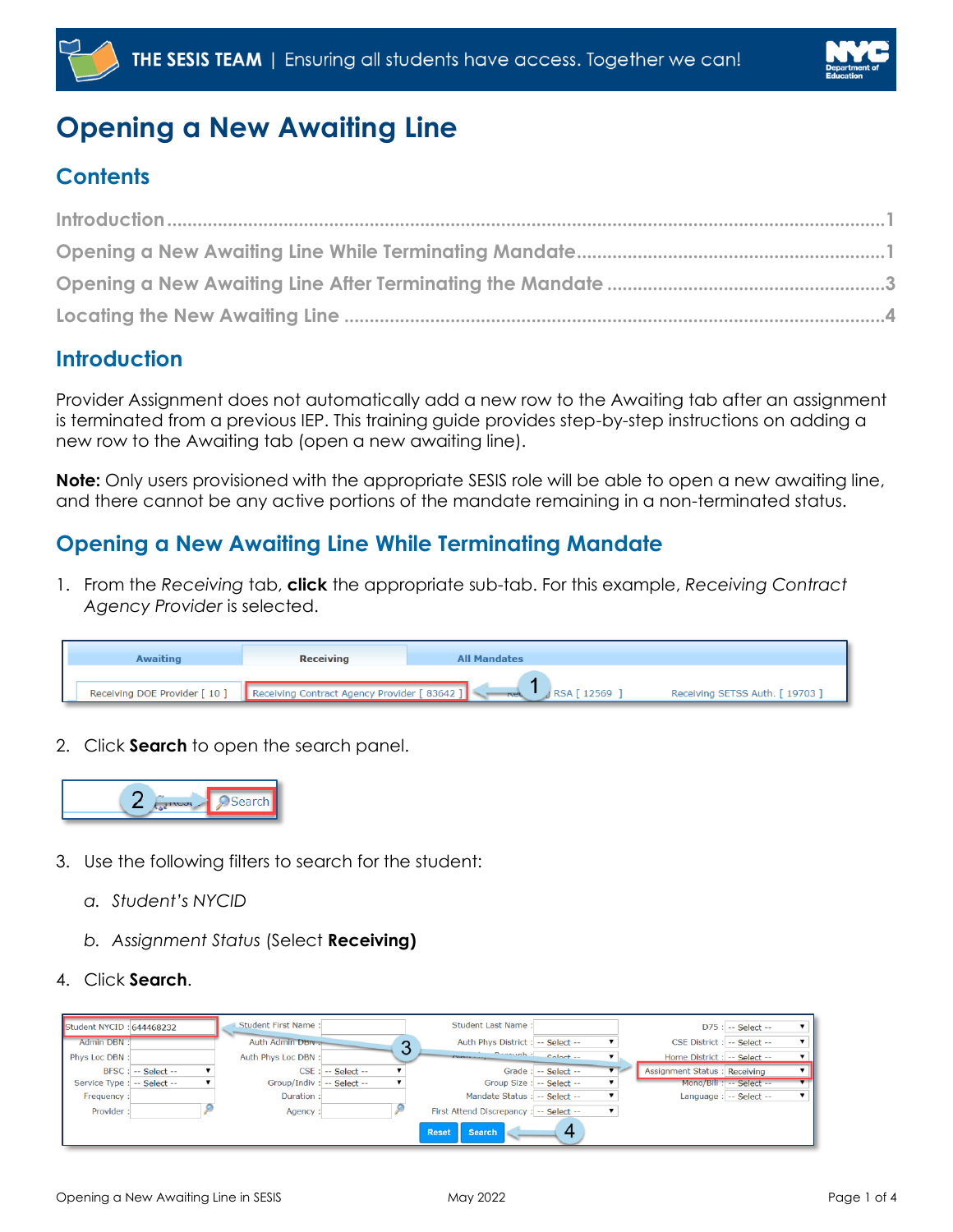



# **Opening a New Awaiting Line**

# **Contents**

## <span id="page-0-0"></span>**Introduction**

Provider Assignment does not automatically add a new row to the Awaiting tab after an assignment is terminated from a previous IEP. This training guide provides step-by-step instructions on adding a new row to the Awaiting tab (open a new awaiting line).

**Note:** Only users provisioned with the appropriate SESIS role will be able to open a new awaiting line, and there cannot be any active portions of the mandate remaining in a non-terminated status.

## <span id="page-0-1"></span>**Opening a New Awaiting Line While Terminating Mandate**

1. From the *Receiving* tab, **click** the appropriate sub-tab. For this example, *Receiving Contract Agency Provider* is selected.

| <b>Awaiting</b>               | <b>Receiving</b>                           | <b>All Mandates</b>     |                                 |
|-------------------------------|--------------------------------------------|-------------------------|---------------------------------|
| Receiving DOE Provider [ 10 ] | Receiving Contract Agency Provider [83642] | RSA [ 12569<br>नरस्त्रे | Receiving SETSS Auth. [ 19703 ] |

2. Click **Search** to open the search panel.



- 3. Use the following filters to search for the student:
	- *a. Student's NYCID*
	- *b. Assignment Status* (Select **Receiving)**
- 4. Click **Search**.

| Student NYCID: 644468232    |                         | Student First Name:        |                        |   | Student Last Name:                      |                           |                              | $D75$ : $-$ Select $-$   |  |
|-----------------------------|-------------------------|----------------------------|------------------------|---|-----------------------------------------|---------------------------|------------------------------|--------------------------|--|
| Admin DBN:                  |                         | Auth Admin DBN             |                        | ◠ | Auth Phys District : -- Select --       |                           | CSE District : -- Select --  |                          |  |
| Phys Loc DBN:               |                         | Auth Phys Loc DBN:         |                        |   | <b>Colort</b><br><b>TIME IN A ROAD</b>  |                           | Home District : -- Select -- |                          |  |
|                             | $BFSC$ : $-$ Select $-$ |                            | $CSE$ : $-$ Select $-$ |   |                                         | Grade: -- Select --       | Assignment Status: Receiving |                          |  |
| Service Type : -- Select -- |                         | Group/Indiv : -- Select -- |                        |   |                                         | Group Size : -- Select -- |                              | Mono/Bili : -- Select -- |  |
| Frequency:                  |                         | Duration:                  |                        |   | Mandate Status : -- Select --           |                           |                              | Language : -- Select --  |  |
| Provider:                   |                         | Agency:                    |                        |   | First Attend Discrepancy : -- Select -- |                           |                              |                          |  |
|                             |                         |                            |                        |   | <b>Reset</b><br><b>Search</b>           |                           |                              |                          |  |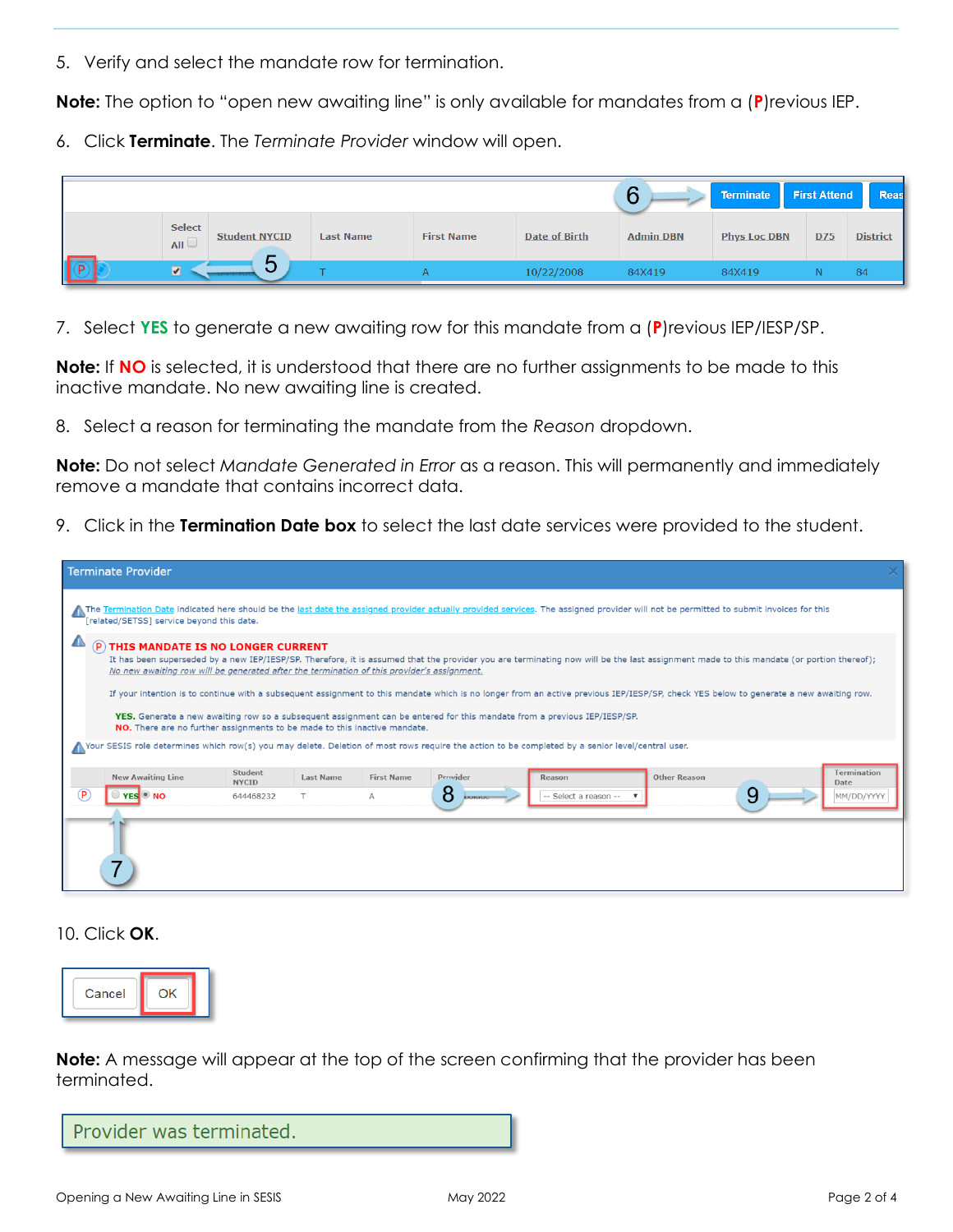5. Verify and select the mandate row for termination.

**Note:** The option to "open new awaiting line" is only available for mandates from a (**P**)revious IEP.

6. Click **Terminate**. The *Terminate Provider* window will open.

|                      |                      |                  |                   |                      | 6                | <b>Terminate</b>    | <b>First Attend</b> | Reas            |
|----------------------|----------------------|------------------|-------------------|----------------------|------------------|---------------------|---------------------|-----------------|
| <b>Select</b><br>AII | <b>Student NYCID</b> | <b>Last Name</b> | <b>First Name</b> | <b>Date of Birth</b> | <b>Admin DBN</b> | <b>Phys Loc DBN</b> | D75                 | <b>District</b> |
| $\boxed{\bullet}$    | ∽<br>◡               |                  |                   | 10/22/2008           | 84X419           | 84X419              |                     | 84              |

7. Select **YES** to generate a new awaiting row for this mandate from a (**P**)revious IEP/IESP/SP.

**Note:** If **NO** is selected, it is understood that there are no further assignments to be made to this inactive mandate. No new awaiting line is created.

8. Select a reason for terminating the mandate from the *Reason* dropdown.

**Note:** Do not select *Mandate Generated in Error* as a reason. This will permanently and immediately remove a mandate that contains incorrect data.

9. Click in the **Termination Date box** to select the last date services were provided to the student.

|   | <b>Terminate Provider</b>                                                                                                                                                                                                          |                         |                  |                   |                                                                                                                                                                                                                                                                                                                                                                                                                                                                                                             |                       |                     |   |                            |
|---|------------------------------------------------------------------------------------------------------------------------------------------------------------------------------------------------------------------------------------|-------------------------|------------------|-------------------|-------------------------------------------------------------------------------------------------------------------------------------------------------------------------------------------------------------------------------------------------------------------------------------------------------------------------------------------------------------------------------------------------------------------------------------------------------------------------------------------------------------|-----------------------|---------------------|---|----------------------------|
|   | The Termination Date indicated here should be the last date the assigned provider actually provided services. The assigned provider will not be permitted to submit invoices for this<br>[related/SETSS] service beyond this date. |                         |                  |                   |                                                                                                                                                                                                                                                                                                                                                                                                                                                                                                             |                       |                     |   |                            |
|   | <b>P THIS MANDATE IS NO LONGER CURRENT</b><br>No new awaiting row will be generated after the termination of this provider's assignment.<br>NO. There are no further assignments to be made to this inactive mandate.              |                         |                  |                   | It has been superseded by a new IEP/IESP/SP. Therefore, it is assumed that the provider you are terminating now will be the last assignment made to this mandate (or portion thereof);<br>If your intention is to continue with a subsequent assignment to this mandate which is no longer from an active previous IEP/IESP/SP, check YES below to generate a new awaiting row.<br>YES. Generate a new awaiting row so a subsequent assignment can be entered for this mandate from a previous IEP/IESP/SP. |                       |                     |   |                            |
|   | Nour SESIS role determines which row(s) you may delete. Deletion of most rows require the action to be completed by a senior level/central user.                                                                                   |                         |                  |                   |                                                                                                                                                                                                                                                                                                                                                                                                                                                                                                             |                       |                     |   |                            |
|   | <b>New Awaiting Line</b>                                                                                                                                                                                                           | Student<br><b>NYCID</b> | <b>Last Name</b> | <b>First Name</b> | Provider                                                                                                                                                                                                                                                                                                                                                                                                                                                                                                    | Reason                | <b>Other Reason</b> |   | <b>Termination</b><br>Date |
| P | $\bullet$ NO                                                                                                                                                                                                                       | 644468232               |                  | A                 | 8<br>bolana                                                                                                                                                                                                                                                                                                                                                                                                                                                                                                 | -- Select a reason -- |                     | 9 | MM/DD/YYYY                 |
|   |                                                                                                                                                                                                                                    |                         |                  |                   |                                                                                                                                                                                                                                                                                                                                                                                                                                                                                                             |                       |                     |   |                            |

10. Click **OK**.



**Note:** A message will appear at the top of the screen confirming that the provider has been terminated.

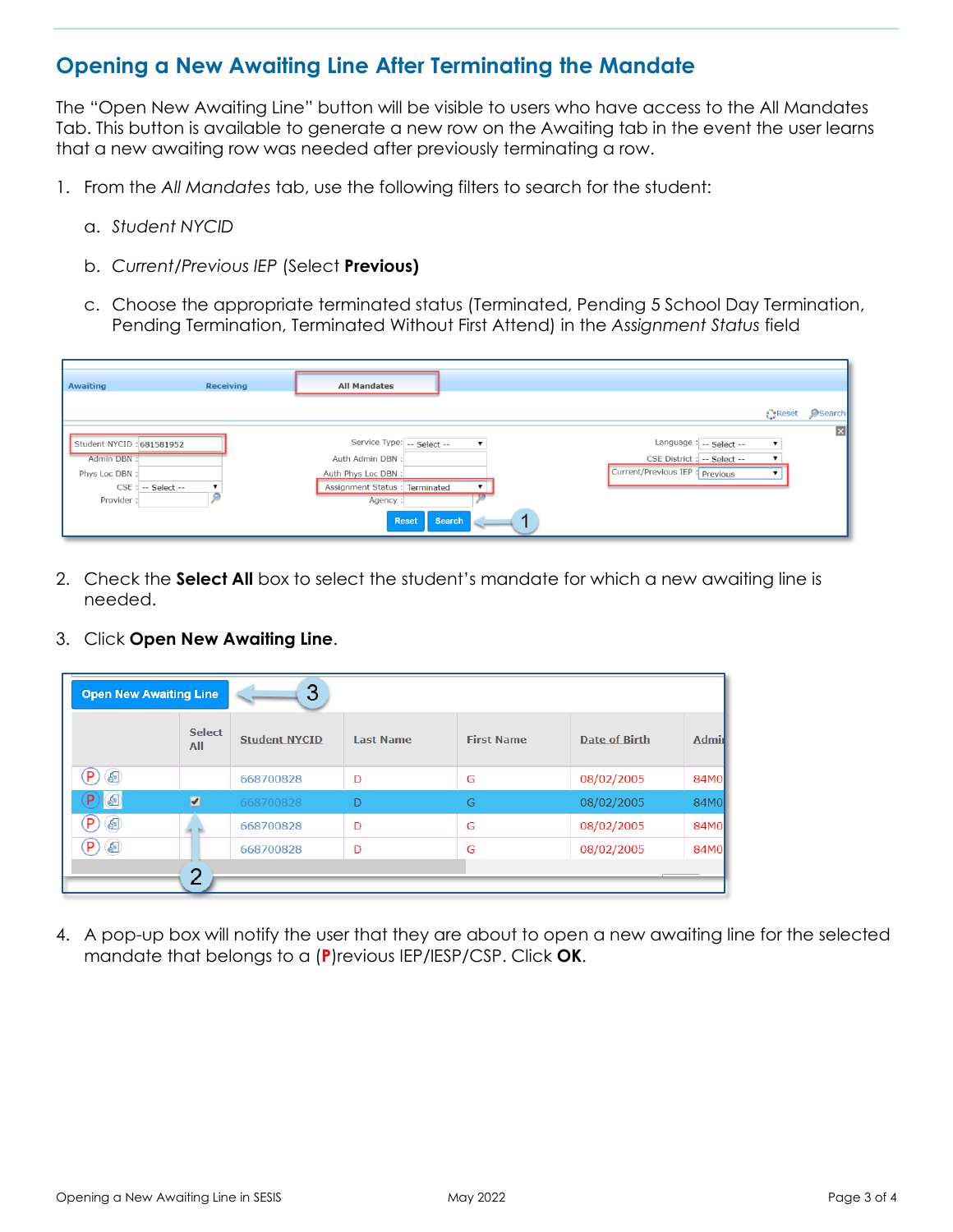#### <span id="page-2-0"></span>**Opening a New Awaiting Line After Terminating the Mandate**

The "Open New Awaiting Line" button will be visible to users who have access to the All Mandates Tab. This button is available to generate a new row on the Awaiting tab in the event the user learns that a new awaiting row was needed after previously terminating a row.

- 1. From the *All Mandates* tab, use the following filters to search for the student:
	- a. *Student NYCID*
	- b. *Current/Previous IEP* (Select **Previous)**
	- c. Choose the appropriate terminated status (Terminated, Pending 5 School Day Termination, Pending Termination, Terminated Without First Attend) in the *Assignment Status* field

| <b>Awaiting</b>                                                                                | <b>Receiving</b> | <b>All Mandates</b>                                                                                                                                                                   |                                                                                          |                       |                         |
|------------------------------------------------------------------------------------------------|------------------|---------------------------------------------------------------------------------------------------------------------------------------------------------------------------------------|------------------------------------------------------------------------------------------|-----------------------|-------------------------|
|                                                                                                |                  |                                                                                                                                                                                       |                                                                                          | <b><i>a</i></b> Reset | Search                  |
| Student NYCID: 681581952<br>Admin DBN:<br>Phys Loc DBN:<br>$CSE$ : $-$ Select $-$<br>Provider: |                  | Service Type: -- Select --<br>$\pmb{\mathrm{v}}$<br>Auth Admin DBN:<br>Auth Phys Loc DBN:<br>Assignment Status : Terminated<br>Agency:<br><b>Reset</b><br><b>Search</b><br>$\sim$ $-$ | Language: -- Select --<br>CSE District : -- Select --<br>Current/Previous IEP : Previous |                       | $\overline{\mathbf{x}}$ |

- 2. Check the **Select All** box to select the student's mandate for which a new awaiting line is needed.
- 3. Click **Open New Awaiting Line**.

| <b>Open New Awaiting Line</b>                  |                              | 3                    |                  |                   |                      |              |
|------------------------------------------------|------------------------------|----------------------|------------------|-------------------|----------------------|--------------|
|                                                | <b>Select</b><br>All         | <b>Student NYCID</b> | <b>Last Name</b> | <b>First Name</b> | <b>Date of Birth</b> | <b>Admir</b> |
| $\left( P\right)$<br>$\bigoplus$               |                              | 668700828            | D                | G                 | 08/02/2005           | 84M0         |
| $P$ $\odot$                                    | $\boxed{\blacktriangledown}$ | 668700828            | D                | G                 | 08/02/2005           | 84M0         |
| $\left( \begin{matrix} P \end{matrix} \right)$ |                              | 668700828            | D                | G                 | 08/02/2005           | 84M0         |
| $P$ $\circledcirc$                             |                              | 668700828            | D                | G                 | 08/02/2005           | 84M0         |
|                                                | ◠                            |                      |                  |                   |                      |              |

4. A pop-up box will notify the user that they are about to open a new awaiting line for the selected mandate that belongs to a (**P**)revious IEP/IESP/CSP. Click **OK**.